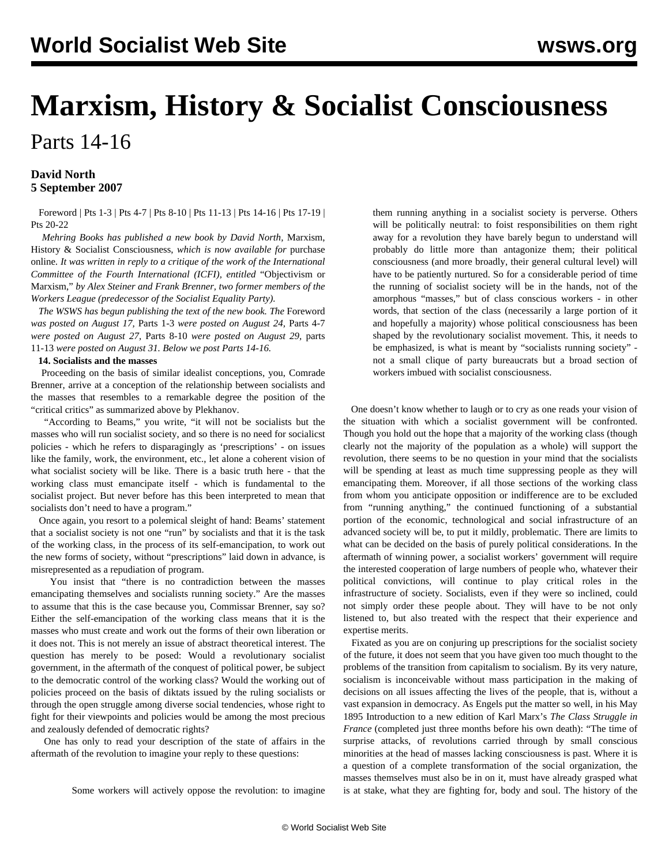# **Marxism, History & Socialist Consciousness**

Parts 14-16

### **David North 5 September 2007**

 [Foreword](/en/articles/2007/08/marx-a17.html) | [Pts 1-3](/en/articles/2007/08/marx-a24.html) | [Pts 4-7](/en/articles/2007/08/marx-a27.html) | [Pts 8-10](/en/articles/2007/08/marx-a29.html) | [Pts 11-13](/en/articles/2007/08/marx-a31.html) | [Pts 14-16](/en/articles/2007/09/marx-s05.html) | [Pts 17-19](/en/articles/2007/09/marx-s07.html) | [Pts 20-22](/en/articles/2007/09/marx-s10.html)

 *Mehring Books has published a new book by David North,* Marxism, History & Socialist Consciousness, *which is now available for* [purchase](http://dev.wsws.org/cgi-bin/store/commerce.cgi?product=newrelease) [online](http://dev.wsws.org/cgi-bin/store/commerce.cgi?product=newrelease)*. It was written in reply to a critique of the work of the International Committee of the Fourth International (ICFI), entitled* ["Objectivism or](http://www.permanent-revolution.org/) [Marxism,"](http://www.permanent-revolution.org/) *by Alex Steiner and Frank Brenner, two former members of the Workers League (predecessor of the Socialist Equality Party).*

 *The WSWS has begun publishing the text of the new book. The* [Foreword](/share/page/site/aug2007/marx-a17.shtml) *was posted on August 17,* [Parts 1-3](/share/page/site/aug2007/marx-a24.shtml) *were posted on August 24,* [Parts 4-7](/share/page/site/aug2007/marx-a27.shtml) *were posted on August 27,* [Parts 8-10](/share/page/site/aug2007/marx-a29.shtml) *were posted on August 29,* [parts](/share/page/site/aug2007/marx-a31.shtml) [11-13](/share/page/site/aug2007/marx-a31.shtml) *were posted on August 31. Below we post Parts 14-16.*

#### **14. Socialists and the masses**

 Proceeding on the basis of similar idealist conceptions, you, Comrade Brenner, arrive at a conception of the relationship between socialists and the masses that resembles to a remarkable degree the position of the "critical critics" as summarized above by Plekhanov.

 "According to Beams," you write, "it will not be socialists but the masses who will run socialist society, and so there is no need for socialicst policies - which he refers to disparagingly as 'prescriptions' - on issues like the family, work, the environment, etc., let alone a coherent vision of what socialist society will be like. There is a basic truth here - that the working class must emancipate itself - which is fundamental to the socialist project. But never before has this been interpreted to mean that socialists don't need to have a program."

 Once again, you resort to a polemical sleight of hand: Beams' statement that a socialist society is not one "run" by socialists and that it is the task of the working class, in the process of its self-emancipation, to work out the new forms of society, without "prescriptions" laid down in advance, is misrepresented as a repudiation of program.

 You insist that "there is no contradiction between the masses emancipating themselves and socialists running society." Are the masses to assume that this is the case because you, Commissar Brenner, say so? Either the self-emancipation of the working class means that it is the masses who must create and work out the forms of their own liberation or it does not. This is not merely an issue of abstract theoretical interest. The question has merely to be posed: Would a revolutionary socialist government, in the aftermath of the conquest of political power, be subject to the democratic control of the working class? Would the working out of policies proceed on the basis of diktats issued by the ruling socialists or through the open struggle among diverse social tendencies, whose right to fight for their viewpoints and policies would be among the most precious and zealously defended of democratic rights?

 One has only to read your description of the state of affairs in the aftermath of the revolution to imagine your reply to these questions:

Some workers will actively oppose the revolution: to imagine

them running anything in a socialist society is perverse. Others will be politically neutral: to foist responsibilities on them right away for a revolution they have barely begun to understand will probably do little more than antagonize them; their political consciousness (and more broadly, their general cultural level) will have to be patiently nurtured. So for a considerable period of time the running of socialist society will be in the hands, not of the amorphous "masses," but of class conscious workers - in other words, that section of the class (necessarily a large portion of it and hopefully a majority) whose political consciousness has been shaped by the revolutionary socialist movement. This, it needs to be emphasized, is what is meant by "socialists running society" not a small clique of party bureaucrats but a broad section of workers imbued with socialist consciousness.

 One doesn't know whether to laugh or to cry as one reads your vision of the situation with which a socialist government will be confronted. Though you hold out the hope that a majority of the working class (though clearly not the majority of the population as a whole) will support the revolution, there seems to be no question in your mind that the socialists will be spending at least as much time suppressing people as they will emancipating them. Moreover, if all those sections of the working class from whom you anticipate opposition or indifference are to be excluded from "running anything," the continued functioning of a substantial portion of the economic, technological and social infrastructure of an advanced society will be, to put it mildly, problematic. There are limits to what can be decided on the basis of purely political considerations. In the aftermath of winning power, a socialist workers' government will require the interested cooperation of large numbers of people who, whatever their political convictions, will continue to play critical roles in the infrastructure of society. Socialists, even if they were so inclined, could not simply order these people about. They will have to be not only listened to, but also treated with the respect that their experience and expertise merits.

 Fixated as you are on conjuring up prescriptions for the socialist society of the future, it does not seem that you have given too much thought to the problems of the transition from capitalism to socialism. By its very nature, socialism is inconceivable without mass participation in the making of decisions on all issues affecting the lives of the people, that is, without a vast expansion in democracy. As Engels put the matter so well, in his May 1895 Introduction to a new edition of Karl Marx's *The Class Struggle in France* (completed just three months before his own death): "The time of surprise attacks, of revolutions carried through by small conscious minorities at the head of masses lacking consciousness is past. Where it is a question of a complete transformation of the social organization, the masses themselves must also be in on it, must have already grasped what is at stake, what they are fighting for, body and soul. The history of the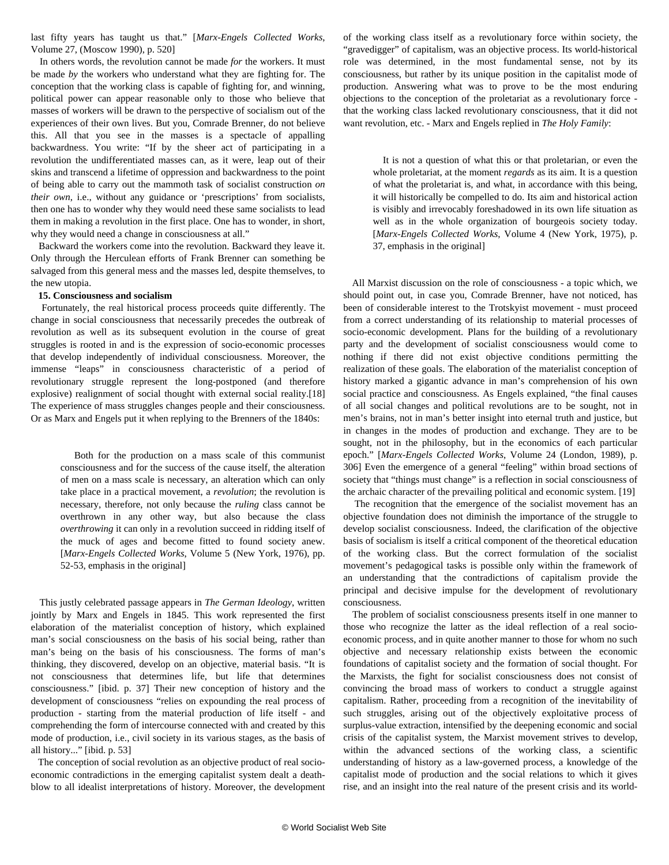last fifty years has taught us that." [*Marx-Engels Collected Works*, Volume 27, (Moscow 1990), p. 520]

 In others words, the revolution cannot be made *for* the workers. It must be made *by* the workers who understand what they are fighting for. The conception that the working class is capable of fighting for, and winning, political power can appear reasonable only to those who believe that masses of workers will be drawn to the perspective of socialism out of the experiences of their own lives. But you, Comrade Brenner, do not believe this. All that you see in the masses is a spectacle of appalling backwardness. You write: "If by the sheer act of participating in a revolution the undifferentiated masses can, as it were, leap out of their skins and transcend a lifetime of oppression and backwardness to the point of being able to carry out the mammoth task of socialist construction *on their own*, i.e., without any guidance or 'prescriptions' from socialists, then one has to wonder why they would need these same socialists to lead them in making a revolution in the first place. One has to wonder, in short, why they would need a change in consciousness at all."

 Backward the workers come into the revolution. Backward they leave it. Only through the Herculean efforts of Frank Brenner can something be salvaged from this general mess and the masses led, despite themselves, to the new utopia.

#### **15. Consciousness and socialism**

 Fortunately, the real historical process proceeds quite differently. The change in social consciousness that necessarily precedes the outbreak of revolution as well as its subsequent evolution in the course of great struggles is rooted in and is the expression of socio-economic processes that develop independently of individual consciousness. Moreover, the immense "leaps" in consciousness characteristic of a period of revolutionary struggle represent the long-postponed (and therefore explosive) realignment of social thought with external social reality.[18] The experience of mass struggles changes people and their consciousness. Or as Marx and Engels put it when replying to the Brenners of the 1840s:

 Both for the production on a mass scale of this communist consciousness and for the success of the cause itself, the alteration of men on a mass scale is necessary, an alteration which can only take place in a practical movement, a *revolution*; the revolution is necessary, therefore, not only because the *ruling* class cannot be overthrown in any other way, but also because the class *overthrowing* it can only in a revolution succeed in ridding itself of the muck of ages and become fitted to found society anew. [*Marx-Engels Collected Works*, Volume 5 (New York, 1976), pp. 52-53, emphasis in the original]

 This justly celebrated passage appears in *The German Ideology*, written jointly by Marx and Engels in 1845. This work represented the first elaboration of the materialist conception of history, which explained man's social consciousness on the basis of his social being, rather than man's being on the basis of his consciousness. The forms of man's thinking, they discovered, develop on an objective, material basis. "It is not consciousness that determines life, but life that determines consciousness." [ibid. p. 37] Their new conception of history and the development of consciousness "relies on expounding the real process of production - starting from the material production of life itself - and comprehending the form of intercourse connected with and created by this mode of production, i.e., civil society in its various stages, as the basis of all history..." [ibid. p. 53]

 The conception of social revolution as an objective product of real socioeconomic contradictions in the emerging capitalist system dealt a deathblow to all idealist interpretations of history. Moreover, the development of the working class itself as a revolutionary force within society, the "gravedigger" of capitalism, was an objective process. Its world-historical role was determined, in the most fundamental sense, not by its consciousness, but rather by its unique position in the capitalist mode of production. Answering what was to prove to be the most enduring objections to the conception of the proletariat as a revolutionary force that the working class lacked revolutionary consciousness, that it did not want revolution, etc. - Marx and Engels replied in *The Holy Family*:

 It is not a question of what this or that proletarian, or even the whole proletariat, at the moment *regards* as its aim. It is a question of what the proletariat is, and what, in accordance with this being, it will historically be compelled to do. Its aim and historical action is visibly and irrevocably foreshadowed in its own life situation as well as in the whole organization of bourgeois society today. [*Marx-Engels Collected Works*, Volume 4 (New York, 1975), p. 37, emphasis in the original]

 All Marxist discussion on the role of consciousness - a topic which, we should point out, in case you, Comrade Brenner, have not noticed, has been of considerable interest to the Trotskyist movement - must proceed from a correct understanding of its relationship to material processes of socio-economic development. Plans for the building of a revolutionary party and the development of socialist consciousness would come to nothing if there did not exist objective conditions permitting the realization of these goals. The elaboration of the materialist conception of history marked a gigantic advance in man's comprehension of his own social practice and consciousness. As Engels explained, "the final causes of all social changes and political revolutions are to be sought, not in men's brains, not in man's better insight into eternal truth and justice, but in changes in the modes of production and exchange. They are to be sought, not in the philosophy, but in the economics of each particular epoch." [*Marx-Engels Collected Works*, Volume 24 (London, 1989), p. 306] Even the emergence of a general "feeling" within broad sections of society that "things must change" is a reflection in social consciousness of the archaic character of the prevailing political and economic system. [19]

 The recognition that the emergence of the socialist movement has an objective foundation does not diminish the importance of the struggle to develop socialist consciousness. Indeed, the clarification of the objective basis of socialism is itself a critical component of the theoretical education of the working class. But the correct formulation of the socialist movement's pedagogical tasks is possible only within the framework of an understanding that the contradictions of capitalism provide the principal and decisive impulse for the development of revolutionary consciousness.

 The problem of socialist consciousness presents itself in one manner to those who recognize the latter as the ideal reflection of a real socioeconomic process, and in quite another manner to those for whom no such objective and necessary relationship exists between the economic foundations of capitalist society and the formation of social thought. For the Marxists, the fight for socialist consciousness does not consist of convincing the broad mass of workers to conduct a struggle against capitalism. Rather, proceeding from a recognition of the inevitability of such struggles, arising out of the objectively exploitative process of surplus-value extraction, intensified by the deepening economic and social crisis of the capitalist system, the Marxist movement strives to develop, within the advanced sections of the working class, a scientific understanding of history as a law-governed process, a knowledge of the capitalist mode of production and the social relations to which it gives rise, and an insight into the real nature of the present crisis and its world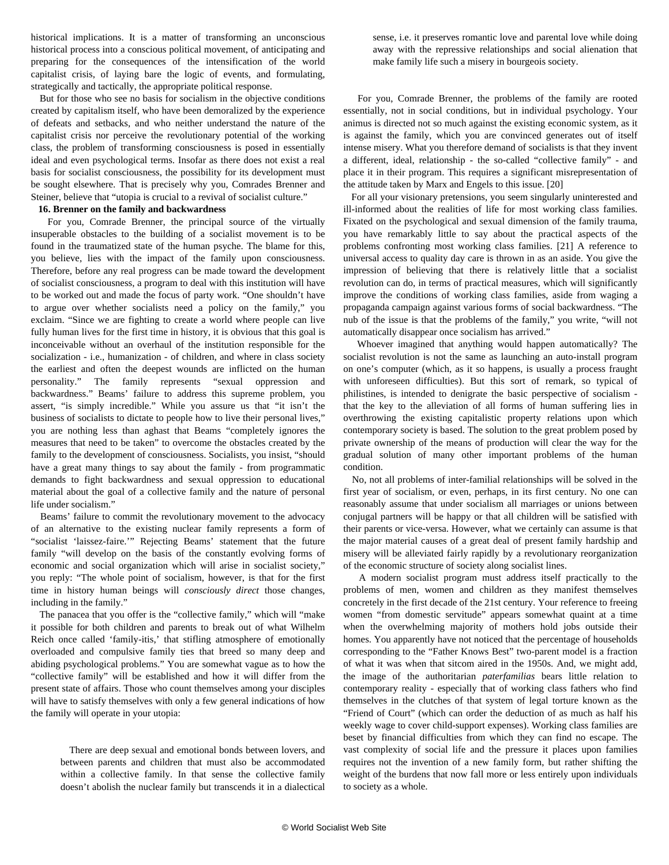historical implications. It is a matter of transforming an unconscious historical process into a conscious political movement, of anticipating and preparing for the consequences of the intensification of the world capitalist crisis, of laying bare the logic of events, and formulating, strategically and tactically, the appropriate political response.

 But for those who see no basis for socialism in the objective conditions created by capitalism itself, who have been demoralized by the experience of defeats and setbacks, and who neither understand the nature of the capitalist crisis nor perceive the revolutionary potential of the working class, the problem of transforming consciousness is posed in essentially ideal and even psychological terms. Insofar as there does not exist a real basis for socialist consciousness, the possibility for its development must be sought elsewhere. That is precisely why you, Comrades Brenner and Steiner, believe that "utopia is crucial to a revival of socialist culture."

#### **16. Brenner on the family and backwardness**

 For you, Comrade Brenner, the principal source of the virtually insuperable obstacles to the building of a socialist movement is to be found in the traumatized state of the human psyche. The blame for this, you believe, lies with the impact of the family upon consciousness. Therefore, before any real progress can be made toward the development of socialist consciousness, a program to deal with this institution will have to be worked out and made the focus of party work. "One shouldn't have to argue over whether socialists need a policy on the family," you exclaim. "Since we are fighting to create a world where people can live fully human lives for the first time in history, it is obvious that this goal is inconceivable without an overhaul of the institution responsible for the socialization - i.e., humanization - of children, and where in class society the earliest and often the deepest wounds are inflicted on the human personality." The family represents "sexual oppression and backwardness." Beams' failure to address this supreme problem, you assert, "is simply incredible." While you assure us that "it isn't the business of socialists to dictate to people how to live their personal lives," you are nothing less than aghast that Beams "completely ignores the measures that need to be taken" to overcome the obstacles created by the family to the development of consciousness. Socialists, you insist, "should have a great many things to say about the family - from programmatic demands to fight backwardness and sexual oppression to educational material about the goal of a collective family and the nature of personal life under socialism."

 Beams' failure to commit the revolutionary movement to the advocacy of an alternative to the existing nuclear family represents a form of "socialist 'laissez-faire.'" Rejecting Beams' statement that the future family "will develop on the basis of the constantly evolving forms of economic and social organization which will arise in socialist society," you reply: "The whole point of socialism, however, is that for the first time in history human beings will *consciously direct* those changes, including in the family."

 The panacea that you offer is the "collective family," which will "make it possible for both children and parents to break out of what Wilhelm Reich once called 'family-itis,' that stifling atmosphere of emotionally overloaded and compulsive family ties that breed so many deep and abiding psychological problems." You are somewhat vague as to how the "collective family" will be established and how it will differ from the present state of affairs. Those who count themselves among your disciples will have to satisfy themselves with only a few general indications of how the family will operate in your utopia:

 There are deep sexual and emotional bonds between lovers, and between parents and children that must also be accommodated within a collective family. In that sense the collective family doesn't abolish the nuclear family but transcends it in a dialectical sense, i.e. it preserves romantic love and parental love while doing away with the repressive relationships and social alienation that make family life such a misery in bourgeois society.

 For you, Comrade Brenner, the problems of the family are rooted essentially, not in social conditions, but in individual psychology. Your animus is directed not so much against the existing economic system, as it is against the family, which you are convinced generates out of itself intense misery. What you therefore demand of socialists is that they invent a different, ideal, relationship - the so-called "collective family" - and place it in their program. This requires a significant misrepresentation of the attitude taken by Marx and Engels to this issue. [20]

 For all your visionary pretensions, you seem singularly uninterested and ill-informed about the realities of life for most working class families. Fixated on the psychological and sexual dimension of the family trauma, you have remarkably little to say about the practical aspects of the problems confronting most working class families. [21] A reference to universal access to quality day care is thrown in as an aside. You give the impression of believing that there is relatively little that a socialist revolution can do, in terms of practical measures, which will significantly improve the conditions of working class families, aside from waging a propaganda campaign against various forms of social backwardness. "The nub of the issue is that the problems of the family," you write, "will not automatically disappear once socialism has arrived."

 Whoever imagined that anything would happen automatically? The socialist revolution is not the same as launching an auto-install program on one's computer (which, as it so happens, is usually a process fraught with unforeseen difficulties). But this sort of remark, so typical of philistines, is intended to denigrate the basic perspective of socialism that the key to the alleviation of all forms of human suffering lies in overthrowing the existing capitalistic property relations upon which contemporary society is based. The solution to the great problem posed by private ownership of the means of production will clear the way for the gradual solution of many other important problems of the human condition.

 No, not all problems of inter-familial relationships will be solved in the first year of socialism, or even, perhaps, in its first century. No one can reasonably assume that under socialism all marriages or unions between conjugal partners will be happy or that all children will be satisfied with their parents or vice-versa. However, what we certainly can assume is that the major material causes of a great deal of present family hardship and misery will be alleviated fairly rapidly by a revolutionary reorganization of the economic structure of society along socialist lines.

 A modern socialist program must address itself practically to the problems of men, women and children as they manifest themselves concretely in the first decade of the 21st century. Your reference to freeing women "from domestic servitude" appears somewhat quaint at a time when the overwhelming majority of mothers hold jobs outside their homes. You apparently have not noticed that the percentage of households corresponding to the "Father Knows Best" two-parent model is a fraction of what it was when that sitcom aired in the 1950s. And, we might add, the image of the authoritarian *paterfamilias* bears little relation to contemporary reality - especially that of working class fathers who find themselves in the clutches of that system of legal torture known as the "Friend of Court" (which can order the deduction of as much as half his weekly wage to cover child-support expenses). Working class families are beset by financial difficulties from which they can find no escape. The vast complexity of social life and the pressure it places upon families requires not the invention of a new family form, but rather shifting the weight of the burdens that now fall more or less entirely upon individuals to society as a whole.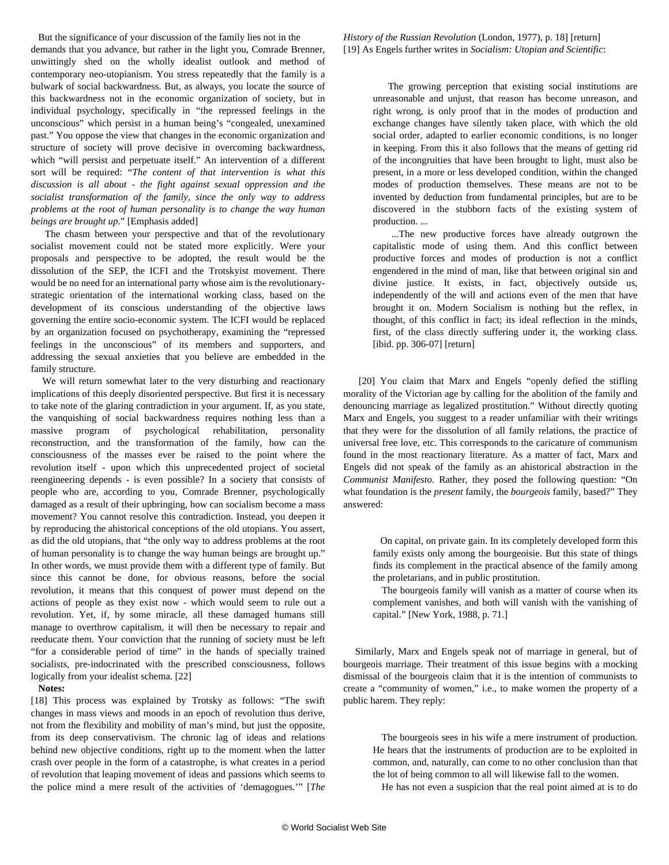But the significance of your discussion of the family lies not in the demands that you advance, but rather in the light you, Comrade Brenner, unwittingly shed on the wholly idealist outlook and method of contemporary neo-utopianism. You stress repeatedly that the family is a bulwark of social backwardness. But, as always, you locate the source of this backwardness not in the economic organization of society, but in individual psychology, specifically in "the repressed feelings in the unconscious" which persist in a human being's "congealed, unexamined past." You oppose the view that changes in the economic organization and structure of society will prove decisive in overcoming backwardness, which "will persist and perpetuate itself." An intervention of a different sort will be required: "*The content of that intervention is what this discussion is all about - the fight against sexual oppression and the socialist transformation of the family, since the only way to address problems at the root of human personality is to change the way human beings are brought up*." [Emphasis added]

 The chasm between your perspective and that of the revolutionary socialist movement could not be stated more explicitly. Were your proposals and perspective to be adopted, the result would be the dissolution of the SEP, the ICFI and the Trotskyist movement. There would be no need for an international party whose aim is the revolutionarystrategic orientation of the international working class, based on the development of its conscious understanding of the objective laws governing the entire socio-economic system. The ICFI would be replaced by an organization focused on psychotherapy, examining the "repressed feelings in the unconscious" of its members and supporters, and addressing the sexual anxieties that you believe are embedded in the family structure.

 We will return somewhat later to the very disturbing and reactionary implications of this deeply disoriented perspective. But first it is necessary to take note of the glaring contradiction in your argument. If, as you state, the vanquishing of social backwardness requires nothing less than a massive program of psychological rehabilitation, personality reconstruction, and the transformation of the family, how can the consciousness of the masses ever be raised to the point where the revolution itself - upon which this unprecedented project of societal reengineering depends - is even possible? In a society that consists of people who are, according to you, Comrade Brenner, psychologically damaged as a result of their upbringing, how can socialism become a mass movement? You cannot resolve this contradiction. Instead, you deepen it by reproducing the ahistorical conceptions of the old utopians. You assert, as did the old utopians, that "the only way to address problems at the root of human personality is to change the way human beings are brought up." In other words, we must provide them with a different type of family. But since this cannot be done, for obvious reasons, before the social revolution, it means that this conquest of power must depend on the actions of people as they exist now - which would seem to rule out a revolution. Yet, if, by some miracle, all these damaged humans still manage to overthrow capitalism, it will then be necessary to repair and reeducate them. Your conviction that the running of society must be left "for a considerable period of time" in the hands of specially trained socialists, pre-indocrinated with the prescribed consciousness, follows logically from your idealist schema. [22]

#### **Notes:**

[18] This process was explained by Trotsky as follows: "The swift changes in mass views and moods in an epoch of revolution thus derive, not from the flexibility and mobility of man's mind, but just the opposite, from its deep conservativism. The chronic lag of ideas and relations behind new objective conditions, right up to the moment when the latter crash over people in the form of a catastrophe, is what creates in a period of revolution that leaping movement of ideas and passions which seems to the police mind a mere result of the activities of 'demagogues.'" [*The* *History of the Russian Revolution* (London, 1977), p. 18] [return] [19] As Engels further writes in *Socialism: Utopian and Scientific*:

> The growing perception that existing social institutions are unreasonable and unjust, that reason has become unreason, and right wrong, is only proof that in the modes of production and exchange changes have silently taken place, with which the old social order, adapted to earlier economic conditions, is no longer in keeping. From this it also follows that the means of getting rid of the incongruities that have been brought to light, must also be present, in a more or less developed condition, within the changed modes of production themselves. These means are not to be invented by deduction from fundamental principles, but are to be discovered in the stubborn facts of the existing system of production. ...

> ...The new productive forces have already outgrown the capitalistic mode of using them. And this conflict between productive forces and modes of production is not a conflict engendered in the mind of man, like that between original sin and divine justice. It exists, in fact, objectively outside us, independently of the will and actions even of the men that have brought it on. Modern Socialism is nothing but the reflex, in thought, of this conflict in fact; its ideal reflection in the minds, first, of the class directly suffering under it, the working class. [ibid. pp. 306-07] [return]

 [20] You claim that Marx and Engels "openly defied the stifling morality of the Victorian age by calling for the abolition of the family and denouncing marriage as legalized prostitution." Without directly quoting Marx and Engels, you suggest to a reader unfamiliar with their writings that they were for the dissolution of all family relations, the practice of universal free love, etc. This corresponds to the caricature of communism found in the most reactionary literature. As a matter of fact, Marx and Engels did not speak of the family as an ahistorical abstraction in the *Communist Manifesto*. Rather, they posed the following question: "On what foundation is the *present* family, the *bourgeois* family, based?" They answered:

 On capital, on private gain. In its completely developed form this family exists only among the bourgeoisie. But this state of things finds its complement in the practical absence of the family among the proletarians, and in public prostitution.

 The bourgeois family will vanish as a matter of course when its complement vanishes, and both will vanish with the vanishing of capital." [New York, 1988, p. 71.]

 Similarly, Marx and Engels speak not of marriage in general, but of bourgeois marriage. Their treatment of this issue begins with a mocking dismissal of the bourgeois claim that it is the intention of communists to create a "community of women," i.e., to make women the property of a public harem. They reply:

 The bourgeois sees in his wife a mere instrument of production. He hears that the instruments of production are to be exploited in common, and, naturally, can come to no other conclusion than that the lot of being common to all will likewise fall to the women.

He has not even a suspicion that the real point aimed at is to do